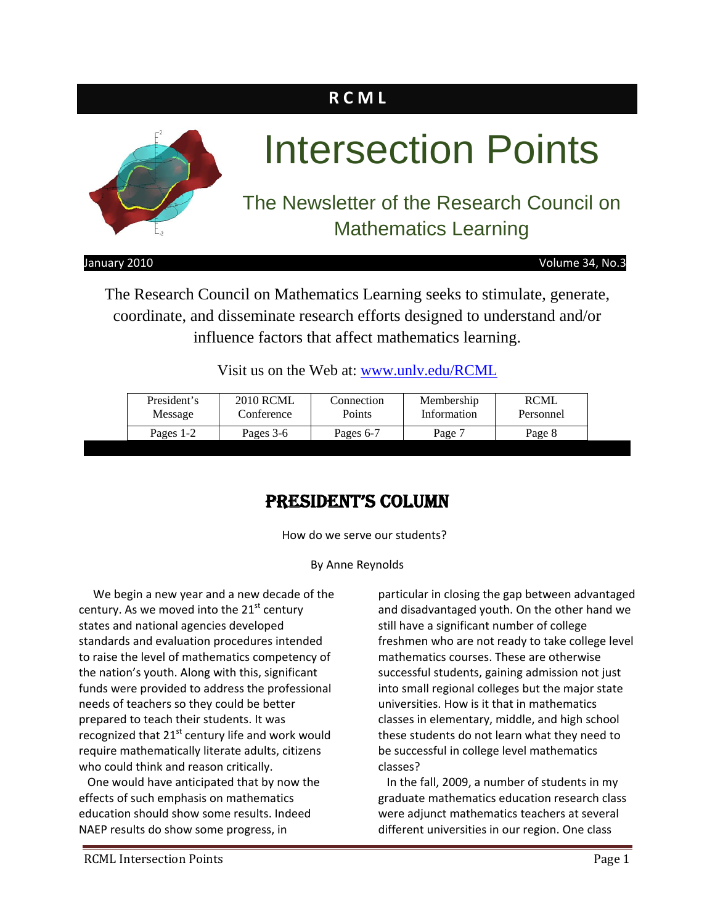# **R C M L**



January 2010 **In the USA CONTROL** CONTROLLEY TO MAKE THE VOLUME 34, No.3

The Research Council on Mathematics Learning seeks to stimulate, generate, coordinate, and disseminate research efforts designed to understand and/or influence factors that affect mathematics learning.

Visit us on the Web at: www.unly.edu/RCML

| President's | <b>2010 RCML</b> | Connection | Membership  | <b>RCML</b> |
|-------------|------------------|------------|-------------|-------------|
| Message     | Conference       | Points     | Information | Personnel   |
| Pages 1-2   | Pages 3-6        | Pages 6-7  | Page 7      |             |

# PRESIDENT'S COLUMN

How do we serve our students?

By Anne Reynolds

 We begin a new year and a new decade of the century. As we moved into the 21<sup>st</sup> century states and national agencies developed standards and evaluation procedures intended to raise the level of mathematics competency of the nation's youth. Along with this, significant funds were provided to address the professional needs of teachers so they could be better prepared to teach their students. It was recognized that  $21^{st}$  century life and work would require mathematically literate adults, citizens who could think and reason critically.

 One would have anticipated that by now the effects of such emphasis on mathematics education should show some results. Indeed NAEP results do show some progress, in

particular in closing the gap between advantaged and disadvantaged youth. On the other hand we still have a significant number of college freshmen who are not ready to take college level mathematics courses. These are otherwise successful students, gaining admission not just into small regional colleges but the major state universities. How is it that in mathematics classes in elementary, middle, and high school these students do not learn what they need to be successful in college level mathematics classes?

 In the fall, 2009, a number of students in my graduate mathematics education research class were adjunct mathematics teachers at several different universities in our region. One class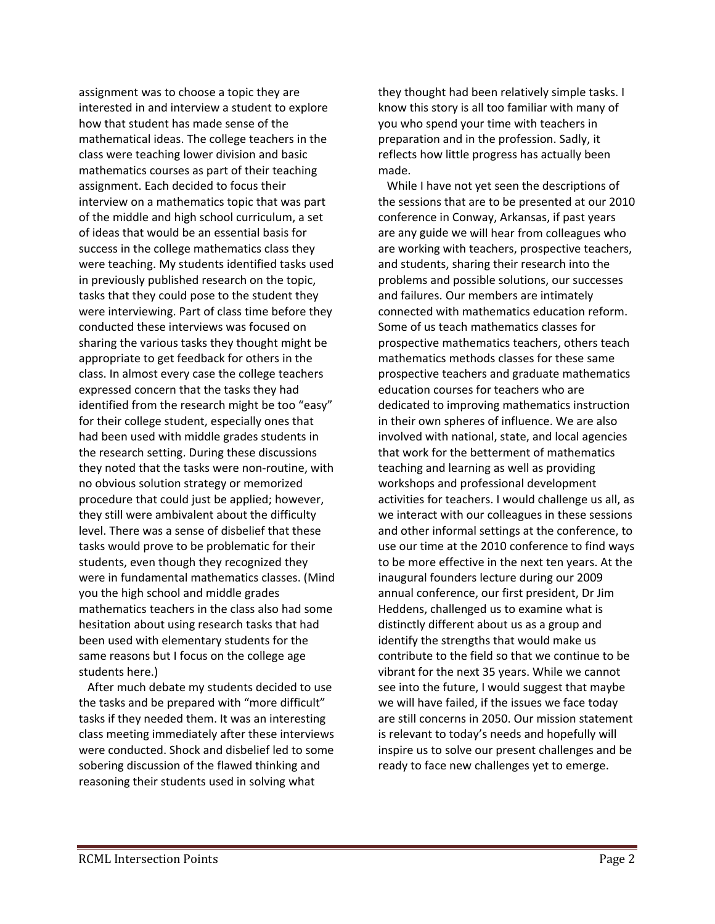assignment was to choose a topic they are interested in and interview a student to explore how that student has made sense of the mathematical ideas. The college teachers in the class were teaching lower division and basic mathematics courses as part of their teaching assignment. Each decided to focus their interview on a mathematics topic that was part of the middle and high school curriculum, a set of ideas that would be an essential basis for success in the college mathematics class they were teaching. My students identified tasks used in previously published research on the topic, tasks that they could pose to the student they were interviewing. Part of class time before they conducted these interviews was focused on sharing the various tasks they thought might be appropriate to get feedback for others in the class. In almost every case the college teachers expressed concern that the tasks they had identified from the research might be too "easy" for their college student, especially ones that had been used with middle grades students in the research setting. During these discussions they noted that the tasks were non‐routine, with no obvious solution strategy or memorized procedure that could just be applied; however, they still were ambivalent about the difficulty level. There was a sense of disbelief that these tasks would prove to be problematic for their students, even though they recognized they were in fundamental mathematics classes. (Mind you the high school and middle grades mathematics teachers in the class also had some hesitation about using research tasks that had been used with elementary students for the same reasons but I focus on the college age students here.)

 After much debate my students decided to use the tasks and be prepared with "more difficult" tasks if they needed them. It was an interesting class meeting immediately after these interviews were conducted. Shock and disbelief led to some sobering discussion of the flawed thinking and reasoning their students used in solving what

they thought had been relatively simple tasks. I know this story is all too familiar with many of you who spend your time with teachers in preparation and in the profession. Sadly, it reflects how little progress has actually been made.

 While I have not yet seen the descriptions of the sessions that are to be presented at our 2010 conference in Conway, Arkansas, if past years are any guide we will hear from colleagues who are working with teachers, prospective teachers, and students, sharing their research into the problems and possible solutions, our successes and failures. Our members are intimately connected with mathematics education reform. Some of us teach mathematics classes for prospective mathematics teachers, others teach mathematics methods classes for these same prospective teachers and graduate mathematics education courses for teachers who are dedicated to improving mathematics instruction in their own spheres of influence. We are also involved with national, state, and local agencies that work for the betterment of mathematics teaching and learning as well as providing workshops and professional development activities for teachers. I would challenge us all, as we interact with our colleagues in these sessions and other informal settings at the conference, to use our time at the 2010 conference to find ways to be more effective in the next ten years. At the inaugural founders lecture during our 2009 annual conference, our first president, Dr Jim Heddens, challenged us to examine what is distinctly different about us as a group and identify the strengths that would make us contribute to the field so that we continue to be vibrant for the next 35 years. While we cannot see into the future, I would suggest that maybe we will have failed, if the issues we face today are still concerns in 2050. Our mission statement is relevant to today's needs and hopefully will inspire us to solve our present challenges and be ready to face new challenges yet to emerge.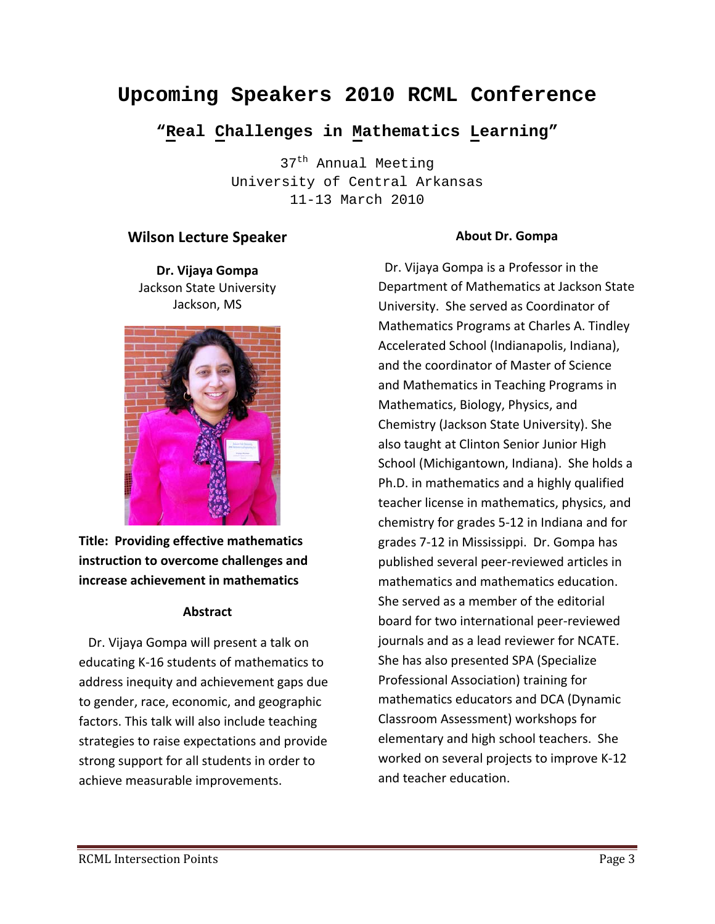# **Upcoming Speakers 2010 RCML Conference**

## **"Real Challenges in Mathematics Learning"**

37<sup>th</sup> Annual Meeting University of Central Arkansas 11-13 March 2010

#### **Wilson Lecture Speaker**

**Dr. Vijaya Gompa** Jackson State University Jackson, MS



**Title: Providing effective mathematics instruction to overcome challenges and increase achievement in mathematics**

#### **Abstract**

 Dr. Vijaya Gompa will present a talk on educating K‐16 students of mathematics to address inequity and achievement gaps due to gender, race, economic, and geographic factors. This talk will also include teaching strategies to raise expectations and provide strong support for all students in order to achieve measurable improvements.

#### **About Dr. Gompa**

 Dr. Vijaya Gompa is a Professor in the Department of Mathematics at Jackson State University. She served as Coordinator of Mathematics Programs at Charles A. Tindley Accelerated School (Indianapolis, Indiana), and the coordinator of Master of Science and Mathematics in Teaching Programs in Mathematics, Biology, Physics, and Chemistry (Jackson State University). She also taught at Clinton Senior Junior High School (Michigantown, Indiana). She holds a Ph.D. in mathematics and a highly qualified teacher license in mathematics, physics, and chemistry for grades 5‐12 in Indiana and for grades 7‐12 in Mississippi. Dr. Gompa has published several peer‐reviewed articles in mathematics and mathematics education. She served as a member of the editorial board for two international peer‐reviewed journals and as a lead reviewer for NCATE. She has also presented SPA (Specialize Professional Association) training for mathematics educators and DCA (Dynamic Classroom Assessment) workshops for elementary and high school teachers. She worked on several projects to improve K‐12 and teacher education.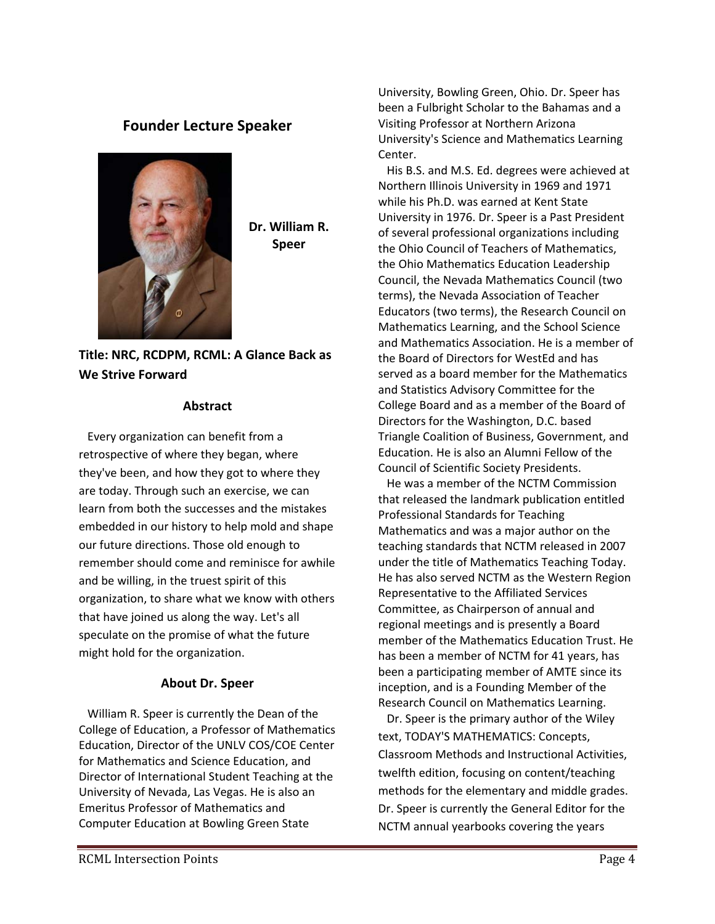### **Founder Lecture Speaker**



**Dr. William R. Speer**

### **Title: NRC, RCDPM, RCML: A Glance Back as We Strive Forward**

#### **Abstract**

 Every organization can benefit from a retrospective of where they began, where they've been, and how they got to where they are today. Through such an exercise, we can learn from both the successes and the mistakes embedded in our history to help mold and shape our future directions. Those old enough to remember should come and reminisce for awhile and be willing, in the truest spirit of this organization, to share what we know with others that have joined us along the way. Let's all speculate on the promise of what the future might hold for the organization.

#### **About Dr. Speer**

 William R. Speer is currently the Dean of the College of Education, a Professor of Mathematics Education, Director of the UNLV COS/COE Center for Mathematics and Science Education, and Director of International Student Teaching at the University of Nevada, Las Vegas. He is also an Emeritus Professor of Mathematics and Computer Education at Bowling Green State

University, Bowling Green, Ohio. Dr. Speer has been a Fulbright Scholar to the Bahamas and a Visiting Professor at Northern Arizona University's Science and Mathematics Learning Center.

 His B.S. and M.S. Ed. degrees were achieved at Northern Illinois University in 1969 and 1971 while his Ph.D. was earned at Kent State University in 1976. Dr. Speer is a Past President of several professional organizations including the Ohio Council of Teachers of Mathematics, the Ohio Mathematics Education Leadership Council, the Nevada Mathematics Council (two terms), the Nevada Association of Teacher Educators (two terms), the Research Council on Mathematics Learning, and the School Science and Mathematics Association. He is a member of the Board of Directors for WestEd and has served as a board member for the Mathematics and Statistics Advisory Committee for the College Board and as a member of the Board of Directors for the Washington, D.C. based Triangle Coalition of Business, Government, and Education. He is also an Alumni Fellow of the Council of Scientific Society Presidents.

 He was a member of the NCTM Commission that released the landmark publication entitled Professional Standards for Teaching Mathematics and was a major author on the teaching standards that NCTM released in 2007 under the title of Mathematics Teaching Today. He has also served NCTM as the Western Region Representative to the Affiliated Services Committee, as Chairperson of annual and regional meetings and is presently a Board member of the Mathematics Education Trust. He has been a member of NCTM for 41 years, has been a participating member of AMTE since its inception, and is a Founding Member of the Research Council on Mathematics Learning.

 Dr. Speer is the primary author of the Wiley text, TODAY'S MATHEMATICS: Concepts, Classroom Methods and Instructional Activities, twelfth edition, focusing on content/teaching methods for the elementary and middle grades. Dr. Speer is currently the General Editor for the NCTM annual yearbooks covering the years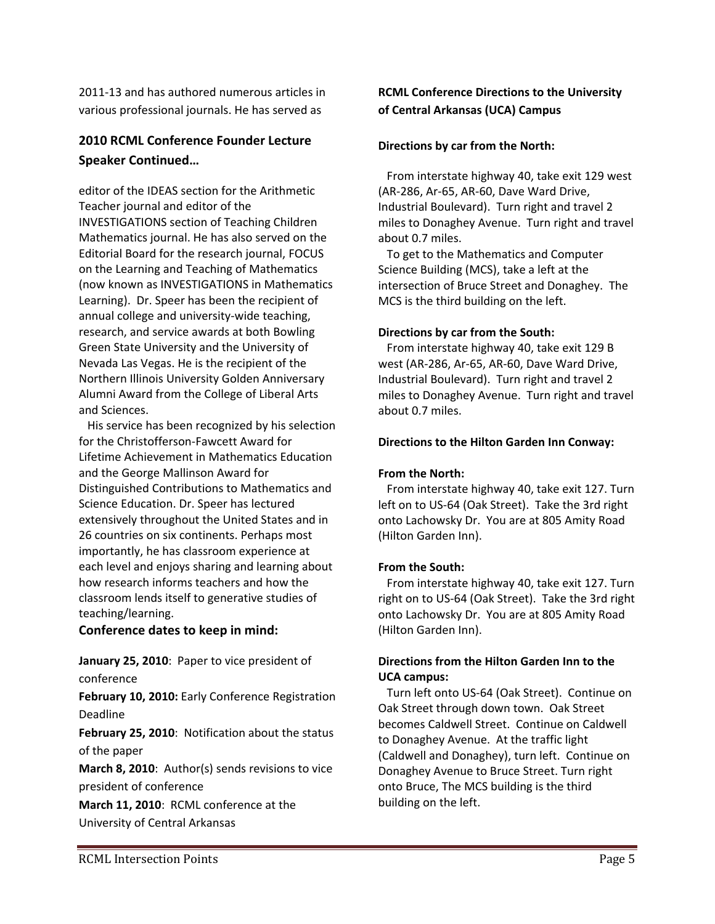2011‐13 and has authored numerous articles in various professional journals. He has served as

### **2010 RCML Conference Founder Lecture Speaker Continued…**

editor of the IDEAS section for the Arithmetic Teacher journal and editor of the INVESTIGATIONS section of Teaching Children Mathematics journal. He has also served on the Editorial Board for the research journal, FOCUS on the Learning and Teaching of Mathematics (now known as INVESTIGATIONS in Mathematics Learning). Dr. Speer has been the recipient of annual college and university‐wide teaching, research, and service awards at both Bowling Green State University and the University of Nevada Las Vegas. He is the recipient of the Northern Illinois University Golden Anniversary Alumni Award from the College of Liberal Arts and Sciences.

 His service has been recognized by his selection for the Christofferson‐Fawcett Award for Lifetime Achievement in Mathematics Education and the George Mallinson Award for Distinguished Contributions to Mathematics and Science Education. Dr. Speer has lectured extensively throughout the United States and in 26 countries on six continents. Perhaps most importantly, he has classroom experience at each level and enjoys sharing and learning about how research informs teachers and how the classroom lends itself to generative studies of teaching/learning.

#### **Conference dates to keep in mind:**

**January 25, 2010**: Paper to vice president of conference

**February 10, 2010:** Early Conference Registration Deadline

**February 25, 2010**: Notification about the status of the paper

**March 8, 2010**: Author(s) sends revisions to vice president of conference

**March 11, 2010**: RCML conference at the University of Central Arkansas

#### **RCML Conference Directions to the University of Central Arkansas (UCA) Campus**

#### **Directions by car from the North:**

 From interstate highway 40, take exit 129 west (AR‐286, Ar‐65, AR‐60, Dave Ward Drive, Industrial Boulevard). Turn right and travel 2 miles to Donaghey Avenue. Turn right and travel about 0.7 miles.

 To get to the Mathematics and Computer Science Building (MCS), take a left at the intersection of Bruce Street and Donaghey. The MCS is the third building on the left.

#### **Directions by car from the South:**

 From interstate highway 40, take exit 129 B west (AR‐286, Ar‐65, AR‐60, Dave Ward Drive, Industrial Boulevard). Turn right and travel 2 miles to Donaghey Avenue. Turn right and travel about 0.7 miles.

#### **Directions to the Hilton Garden Inn Conway:**

#### **From the North:**

 From interstate highway 40, take exit 127. Turn left on to US‐64 (Oak Street). Take the 3rd right onto Lachowsky Dr. You are at 805 Amity Road (Hilton Garden Inn).

#### **From the South:**

 From interstate highway 40, take exit 127. Turn right on to US‐64 (Oak Street). Take the 3rd right onto Lachowsky Dr. You are at 805 Amity Road (Hilton Garden Inn).

#### **Directions from the Hilton Garden Inn to the UCA campus:**

 Turn left onto US‐64 (Oak Street). Continue on Oak Street through down town. Oak Street becomes Caldwell Street. Continue on Caldwell to Donaghey Avenue. At the traffic light (Caldwell and Donaghey), turn left. Continue on Donaghey Avenue to Bruce Street. Turn right onto Bruce, The MCS building is the third building on the left.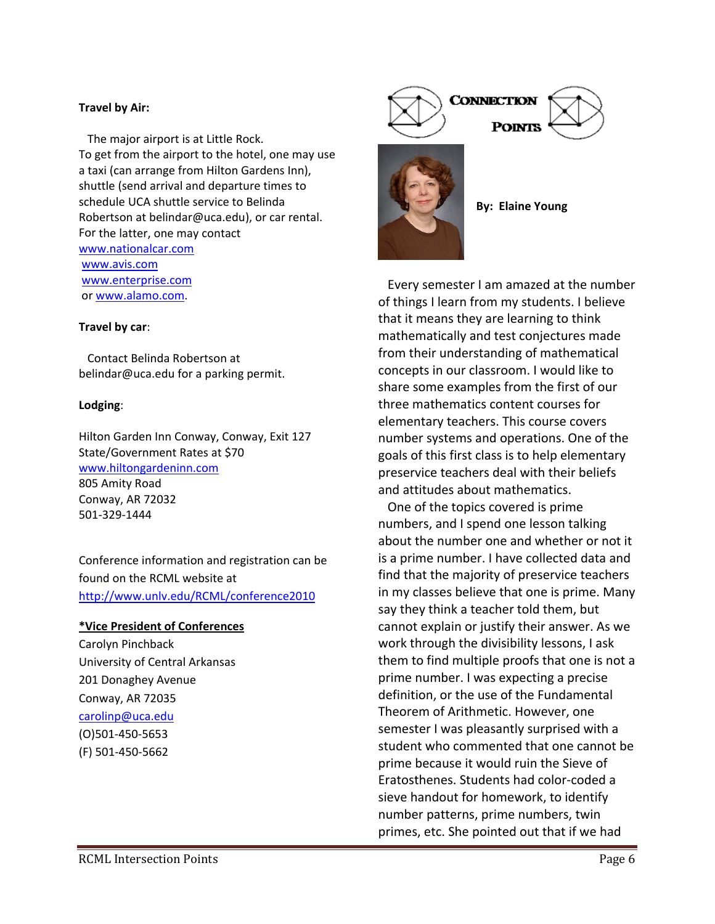#### **Travel by Air:**

 The major airport is at Little Rock. To get from the airport to the hotel, one may use a taxi (can arrange from Hilton Gardens Inn), shuttle (send arrival and departure times to schedule UCA shuttle service to Belinda Robertson at belindar@uca.edu), or car rental. For the latter, one may contact www.nationalcar.com www.avis.com www.enterprise.com or www.alamo.com.

#### **Travel by car**:

 Contact Belinda Robertson at belindar@uca.edu for a parking permit.

#### **Lodging**:

Hilton Garden Inn Conway, Conway, Exit 127 State/Government Rates at \$70 www.hiltongardeninn.com 805 Amity Road Conway, AR 72032 501‐329‐1444

Conference information and registration can be found on the RCML website at http://www.unlv.edu/RCML/conference2010

#### **\*Vice President of Conferences**

Carolyn Pinchback University of Central Arkansas 201 Donaghey Avenue Conway, AR 72035 carolinp@uca.edu (O)501‐450‐5653 (F) 501‐450‐5662



 Every semester I am amazed at the number of things I learn from my students. I believe that it means they are learning to think mathematically and test conjectures made from their understanding of mathematical concepts in our classroom. I would like to share some examples from the first of our three mathematics content courses for elementary teachers. This course covers number systems and operations. One of the goals of this first class is to help elementary preservice teachers deal with their beliefs and attitudes about mathematics.

 One of the topics covered is prime numbers, and I spend one lesson talking about the number one and whether or not it is a prime number. I have collected data and find that the majority of preservice teachers in my classes believe that one is prime. Many say they think a teacher told them, but cannot explain or justify their answer. As we work through the divisibility lessons, I ask them to find multiple proofs that one is not a prime number. I was expecting a precise definition, or the use of the Fundamental Theorem of Arithmetic. However, one semester I was pleasantly surprised with a student who commented that one cannot be prime because it would ruin the Sieve of Eratosthenes. Students had color‐coded a sieve handout for homework, to identify number patterns, prime numbers, twin primes, etc. She pointed out that if we had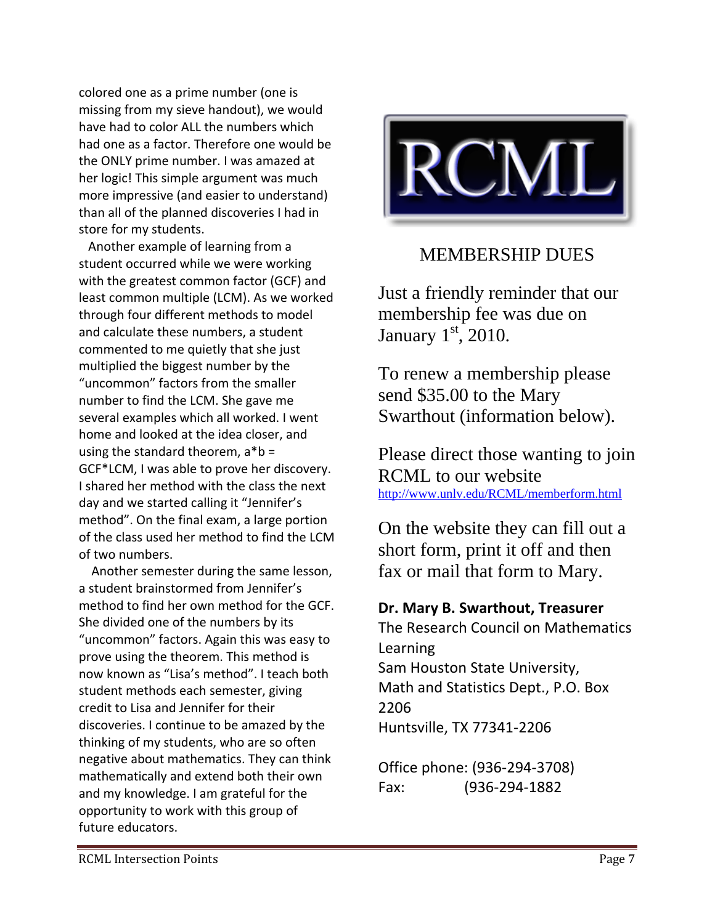colored one as a prime number (one is missing from my sieve handout), we would have had to color ALL the numbers which had one as a factor. Therefore one would be the ONLY prime number. I was amazed at her logic! This simple argument was much more impressive (and easier to understand) than all of the planned discoveries I had in store for my students.

 Another example of learning from a student occurred while we were working with the greatest common factor (GCF) and least common multiple (LCM). As we worked through four different methods to model and calculate these numbers, a student commented to me quietly that she just multiplied the biggest number by the "uncommon" factors from the smaller number to find the LCM. She gave me several examples which all worked. I went home and looked at the idea closer, and using the standard theorem,  $a^*b =$ GCF\*LCM, I was able to prove her discovery. I shared her method with the class the next day and we started calling it "Jennifer's method". On the final exam, a large portion of the class used her method to find the LCM of two numbers.

 Another semester during the same lesson, a student brainstormed from Jennifer's method to find her own method for the GCF. She divided one of the numbers by its "uncommon" factors. Again this was easy to prove using the theorem. This method is now known as "Lisa's method". I teach both student methods each semester, giving credit to Lisa and Jennifer for their discoveries. I continue to be amazed by the thinking of my students, who are so often negative about mathematics. They can think mathematically and extend both their own and my knowledge. I am grateful for the opportunity to work with this group of future educators.



# MEMBERSHIP DUES

Just a friendly reminder that our membership fee was due on January  $1<sup>st</sup>$ , 2010.

To renew a membership please send \$35.00 to the Mary Swarthout (information below).

Please direct those wanting to join RCML to our website http://www.unlv.edu/RCML/memberform.html

On the website they can fill out a short form, print it off and then fax or mail that form to Mary.

## **Dr. Mary B. Swarthout, Treasurer**

The Research Council on Mathematics Learning Sam Houston State University, Math and Statistics Dept., P.O. Box 2206 Huntsville, TX 77341‐2206

Office phone: (936‐294‐3708) Fax: (936‐294‐1882